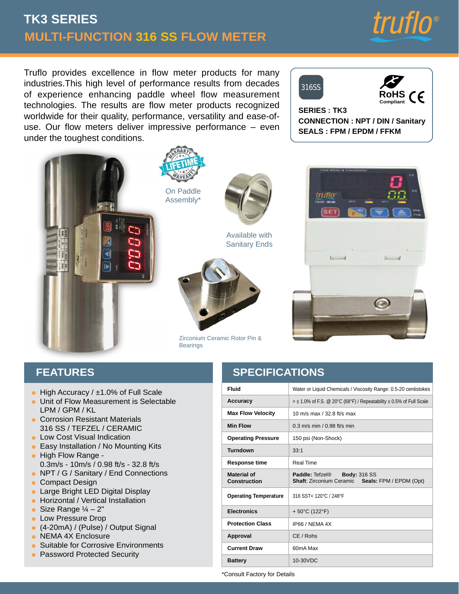# **MULTI-FUNCTION 316 SS FLOW METER TK3 SERIES**



**RoHS Compliant**

 $\epsilon$ 

Truflo provides excellence in flow meter products for many industries.This high level of performance results from decades of experience enhancing paddle wheel flow measurement technologies. The results are flow meter products recognized worldwide for their quality, performance, versatility and ease-ofuse. Our flow meters deliver impressive performance – even under the toughest conditions.







Available with Sanitary Ends



Zirconium Ceramic Rotor Pin & **Bearings** 



**CONNECTION : NPT / DIN / Sanitary**

**SEALS : FPM / EPDM / FFKM**

316SS

**SERIES : TK3**

## **FEATURES**

- High Accuracy / ±1.0% of Full Scale
- **Unit of Flow Measurement is Selectable** LPM / GPM / KL
- Corrosion Resistant Materials 316 SS / TEFZEL / CERAMIC
- **Low Cost Visual Indication**
- $\bullet\,$  Easy Installation / No Mounting Kits
- **High Flow Range -**0.3m/s - 10m/s / 0.98 ft/s - 32.8 ft/s
- NPT / G / Sanitary / End Connections
- **Compact Design**
- Large Bright LED Digital Display
- Horizontal / Vertical Installation
- Size Range  $\frac{1}{4}$  2"
- **Low Pressure Drop**
- (4-20mA) / (Pulse) / Output Signal
- NEMA 4X Enclosure
- Suitable for Corrosive Environments
- **Password Protected Security**

# **SPECIFICATIONS**

| <b>Fluid</b>                              | Water or Liquid Chemicals / Viscosity Range: 0.5-20 centistokes                         |  |  |
|-------------------------------------------|-----------------------------------------------------------------------------------------|--|--|
| Accuracy                                  | $>$ ± 1.0% of F.S. @ 20°C (68°F) / Repeatability $\pm$ 0.5% of Full Scale               |  |  |
| <b>Max Flow Velocity</b>                  | 10 m/s max $/$ 32 8 ft/s max                                                            |  |  |
| <b>Min Flow</b>                           | $0.3$ m/s min / $0.98$ ft/s min                                                         |  |  |
| <b>Operating Pressure</b>                 | 150 psi (Non-Shock)                                                                     |  |  |
| Turndown                                  | 33.1                                                                                    |  |  |
| <b>Response time</b>                      | Real Time                                                                               |  |  |
| <b>Material of</b><br><b>Construction</b> | Paddle: Tefzel® Body: 316 SS<br><b>Shaft: Zirconium Ceramic Seals: FPM / EPDM (Opt)</b> |  |  |
| <b>Operating Temperature</b>              | 316 SST< 120°C / 248°F                                                                  |  |  |
| <b>Electronics</b>                        |                                                                                         |  |  |
|                                           | $+50^{\circ}$ C (122 $^{\circ}$ F)                                                      |  |  |
| <b>Protection Class</b>                   | IP66 / NEMA 4X                                                                          |  |  |
| Approval                                  | CE / Rohs                                                                               |  |  |
| <b>Current Draw</b>                       | 60mA Max                                                                                |  |  |

\*Consult Factory for Details